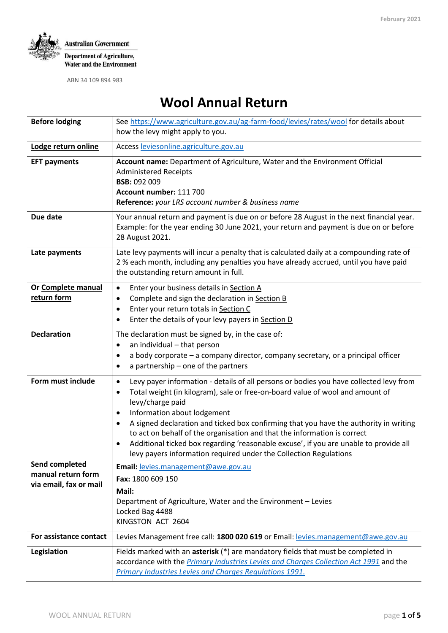

# **Wool Annual Return**

| <b>Before lodging</b>  | See https://www.agriculture.gov.au/ag-farm-food/levies/rates/wool for details about<br>how the levy might apply to you.                                                                                                                                                                                                                                                                                                                                                                                                                                                                                                        |  |  |  |  |
|------------------------|--------------------------------------------------------------------------------------------------------------------------------------------------------------------------------------------------------------------------------------------------------------------------------------------------------------------------------------------------------------------------------------------------------------------------------------------------------------------------------------------------------------------------------------------------------------------------------------------------------------------------------|--|--|--|--|
| Lodge return online    | Access leviesonline.agriculture.gov.au                                                                                                                                                                                                                                                                                                                                                                                                                                                                                                                                                                                         |  |  |  |  |
| <b>EFT payments</b>    | Account name: Department of Agriculture, Water and the Environment Official<br><b>Administered Receipts</b><br><b>BSB: 092 009</b><br>Account number: 111 700<br>Reference: your LRS account number & business name                                                                                                                                                                                                                                                                                                                                                                                                            |  |  |  |  |
| Due date               | Your annual return and payment is due on or before 28 August in the next financial year.<br>Example: for the year ending 30 June 2021, your return and payment is due on or before<br>28 August 2021.                                                                                                                                                                                                                                                                                                                                                                                                                          |  |  |  |  |
| Late payments          | Late levy payments will incur a penalty that is calculated daily at a compounding rate of<br>2 % each month, including any penalties you have already accrued, until you have paid<br>the outstanding return amount in full.                                                                                                                                                                                                                                                                                                                                                                                                   |  |  |  |  |
| Or Complete manual     | Enter your business details in Section A<br>٠                                                                                                                                                                                                                                                                                                                                                                                                                                                                                                                                                                                  |  |  |  |  |
| return form            | Complete and sign the declaration in Section B<br>$\bullet$                                                                                                                                                                                                                                                                                                                                                                                                                                                                                                                                                                    |  |  |  |  |
|                        | Enter your return totals in Section C<br>$\bullet$                                                                                                                                                                                                                                                                                                                                                                                                                                                                                                                                                                             |  |  |  |  |
|                        | Enter the details of your levy payers in Section D<br>$\bullet$                                                                                                                                                                                                                                                                                                                                                                                                                                                                                                                                                                |  |  |  |  |
| <b>Declaration</b>     | The declaration must be signed by, in the case of:<br>an individual - that person<br>$\bullet$<br>a body corporate - a company director, company secretary, or a principal officer<br>٠<br>a partnership - one of the partners<br>٠                                                                                                                                                                                                                                                                                                                                                                                            |  |  |  |  |
| Form must include      | Levy payer information - details of all persons or bodies you have collected levy from<br>$\bullet$<br>Total weight (in kilogram), sale or free-on-board value of wool and amount of<br>$\bullet$<br>levy/charge paid<br>Information about lodgement<br>$\bullet$<br>A signed declaration and ticked box confirming that you have the authority in writing<br>$\bullet$<br>to act on behalf of the organisation and that the information is correct<br>Additional ticked box regarding 'reasonable excuse', if you are unable to provide all<br>$\bullet$<br>levy payers information required under the Collection Regulations |  |  |  |  |
| Send completed         | Email: levies.management@awe.gov.au                                                                                                                                                                                                                                                                                                                                                                                                                                                                                                                                                                                            |  |  |  |  |
| manual return form     | Fax: 1800 609 150                                                                                                                                                                                                                                                                                                                                                                                                                                                                                                                                                                                                              |  |  |  |  |
| via email, fax or mail | Mail:                                                                                                                                                                                                                                                                                                                                                                                                                                                                                                                                                                                                                          |  |  |  |  |
|                        | Department of Agriculture, Water and the Environment - Levies                                                                                                                                                                                                                                                                                                                                                                                                                                                                                                                                                                  |  |  |  |  |
|                        | Locked Bag 4488<br>KINGSTON ACT 2604                                                                                                                                                                                                                                                                                                                                                                                                                                                                                                                                                                                           |  |  |  |  |
| For assistance contact | Levies Management free call: 1800 020 619 or Email: levies.management@awe.gov.au                                                                                                                                                                                                                                                                                                                                                                                                                                                                                                                                               |  |  |  |  |
| Legislation            | Fields marked with an asterisk (*) are mandatory fields that must be completed in<br>accordance with the Primary Industries Levies and Charges Collection Act 1991 and the<br>Primary Industries Levies and Charges Regulations 1991.                                                                                                                                                                                                                                                                                                                                                                                          |  |  |  |  |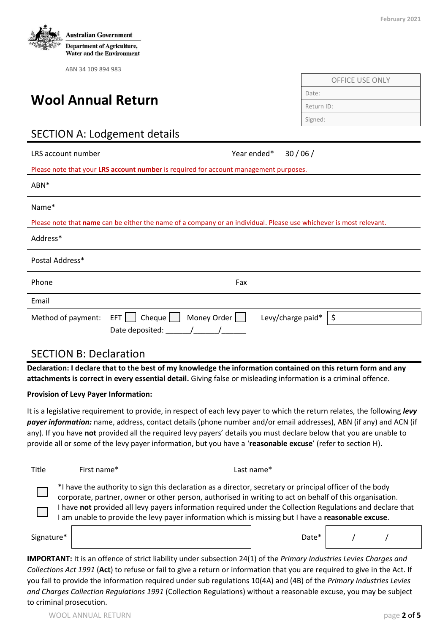

# **Wool Annual Return**

| <b>OFFICE USE ONLY</b> |
|------------------------|
| Date:                  |
| Return ID:             |
| Signed:                |

# SECTION A: Lodgement details

| LRS account number                                                                    |                                                                                                                    | Year ended* | 30/06/            |    |  |  |  |
|---------------------------------------------------------------------------------------|--------------------------------------------------------------------------------------------------------------------|-------------|-------------------|----|--|--|--|
| Please note that your LRS account number is required for account management purposes. |                                                                                                                    |             |                   |    |  |  |  |
| ABN*                                                                                  |                                                                                                                    |             |                   |    |  |  |  |
| Name*                                                                                 |                                                                                                                    |             |                   |    |  |  |  |
|                                                                                       | Please note that name can be either the name of a company or an individual. Please use whichever is most relevant. |             |                   |    |  |  |  |
| Address*                                                                              |                                                                                                                    |             |                   |    |  |  |  |
| Postal Address*                                                                       |                                                                                                                    |             |                   |    |  |  |  |
| Phone                                                                                 | Fax                                                                                                                |             |                   |    |  |  |  |
| Email                                                                                 |                                                                                                                    |             |                   |    |  |  |  |
| Method of payment:                                                                    | Cheque $\Box$<br>Money Order $\Box$<br>$EFT$    <br>Date deposited:                                                |             | Levy/charge paid* | \$ |  |  |  |

#### SECTION B: Declaration

**Declaration: I declare that to the best of my knowledge the information contained on this return form and any attachments is correct in every essential detail.** Giving false or misleading information is a criminal offence.

#### **Provision of Levy Payer Information:**

It is a legislative requirement to provide, in respect of each levy payer to which the return relates, the following *levy payer information:* name, address, contact details (phone number and/or email addresses), ABN (if any) and ACN (if any). If you have **not** provided all the required levy payers' details you must declare below that you are unable to provide all or some of the levy payer information, but you have a '**reasonable excuse**' (refer to section H).

| Title                                                                                                                                                                                                                                                                                                                                                                                                                               | First name* | Last name*        |  |  |  |  |
|-------------------------------------------------------------------------------------------------------------------------------------------------------------------------------------------------------------------------------------------------------------------------------------------------------------------------------------------------------------------------------------------------------------------------------------|-------------|-------------------|--|--|--|--|
| *I have the authority to sign this declaration as a director, secretary or principal officer of the body<br>corporate, partner, owner or other person, authorised in writing to act on behalf of this organisation.<br>have not provided all levy payers information required under the Collection Regulations and declare that<br>am unable to provide the levy payer information which is missing but I have a reasonable excuse. |             |                   |  |  |  |  |
| Signature*                                                                                                                                                                                                                                                                                                                                                                                                                          |             | Date <sup>*</sup> |  |  |  |  |

**IMPORTANT:** It is an offence of strict liability under subsection 24(1) of the *Primary Industries Levies Charges and Collections Act 1991* (**Act**) to refuse or fail to give a return or information that you are required to give in the Act. If you fail to provide the information required under sub regulations 10(4A) and (4B) of the *Primary Industries Levies and Charges Collection Regulations 1991* (Collection Regulations) without a reasonable excuse, you may be subject to criminal prosecution.

**February 2021**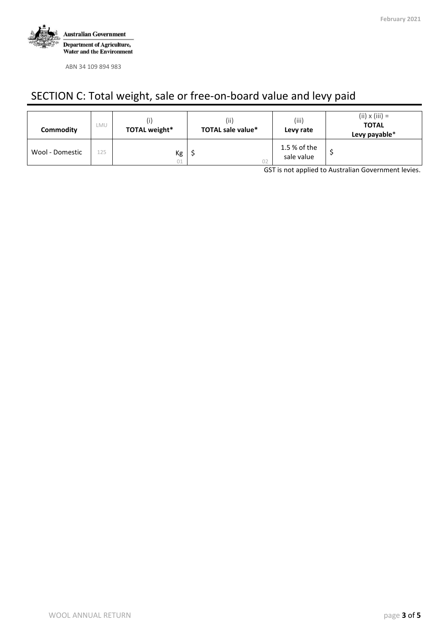

# SECTION C: Total weight, sale or free-on-board value and levy paid

| Commodity       | LMU | TOTAL weight* | (iii)<br><b>TOTAL sale value*</b> | (iii)<br>Levy rate         | $(ii) \times (iii) =$<br><b>TOTAL</b><br>Levy payable* |
|-----------------|-----|---------------|-----------------------------------|----------------------------|--------------------------------------------------------|
| Wool - Domestic | 125 | Кg<br>01      |                                   | 1.5 % of the<br>sale value |                                                        |

GST is not applied to Australian Government levies.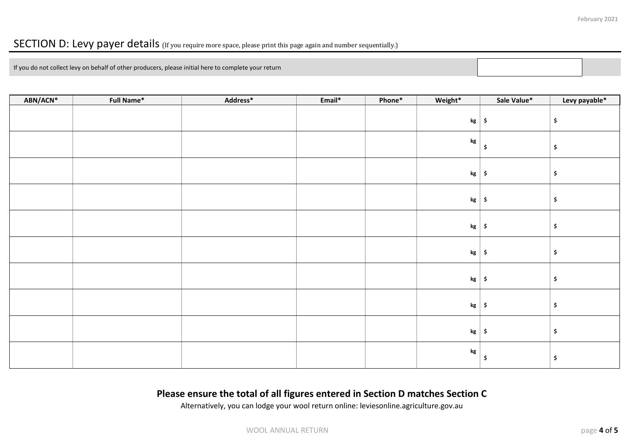### SECTION D: Levy payer details (If you require more space, please print this page again and number sequentially.)

If you do not collect levy on behalf of other producers, please initial here to complete your return

| ABN/ACN* | <b>Full Name*</b> | Address* | Email* | Phone* | Weight*       | Sale Value*         | Levy payable*             |
|----------|-------------------|----------|--------|--------|---------------|---------------------|---------------------------|
|          |                   |          |        |        | kg            | $\ddot{\bm{\zeta}}$ | \$                        |
|          |                   |          |        |        | $\mathbf{kg}$ | $\ddot{\bm{\zeta}}$ | $\boldsymbol{\mathsf{S}}$ |
|          |                   |          |        |        | $kg \mid \xi$ |                     | $\boldsymbol{\mathsf{S}}$ |
|          |                   |          |        |        | kg            | $\ddot{\bm{\zeta}}$ | \$                        |
|          |                   |          |        |        | kg            | $\ddot{\bm{\zeta}}$ | $\boldsymbol{\mathsf{S}}$ |
|          |                   |          |        |        | $kg \mid \xi$ |                     | \$                        |
|          |                   |          |        |        | kg            | $\ddot{\bm{\zeta}}$ | $\boldsymbol{\mathsf{S}}$ |
|          |                   |          |        |        | $kg \mid \xi$ |                     | \$                        |
|          |                   |          |        |        | $kg \mid$ \$  |                     | \$                        |
|          |                   |          |        |        | $\mathbf{kg}$ | .\$                 | \$                        |

#### **Please ensure the total of all figures entered in Section D matches Section C**

Alternatively, you can lodge your wool return online: leviesonline.agriculture.gov.au